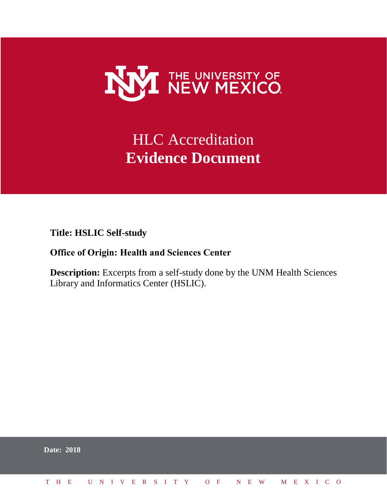

# **HLC** Accreditation **Evidence Document**

**Title: HSLIC Self-study**

# **Office of Origin: Health and Sciences Center**

**Description:** Excerpts from a self-study done by the UNM Health Sciences Library and Informatics Center (HSLIC).

|  | <b>Date: 2018</b>            |  |  |  |  |  |  |  |  |  |  |  |  |  |
|--|------------------------------|--|--|--|--|--|--|--|--|--|--|--|--|--|
|  | THE UNIVERSITY OF NEW MEXICO |  |  |  |  |  |  |  |  |  |  |  |  |  |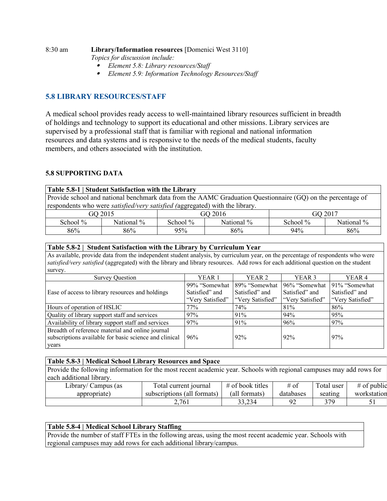## 8:30 am **Library/Information resources** [Domenici West 3110]

*Topics for discussion include:*

- *Element 5.8: Library resources/Staff*
- $\bullet$ *Element 5.9: Information Technology Resources/Staff*

# **5.8 LIBRARY RESOURCES/STAFF**

A medical school provides ready access to well-maintained library resources sufficient in breadth of holdings and technology to support its educational and other missions. Library services are supervised by a professional staff that is familiar with regional and national information resources and data systems and is responsive to the needs of the medical students, faculty members, and others associated with the institution.

#### **5.8 SUPPORTING DATA**

| Table 5.8-1   Student Satisfaction with the Library                                                         |         |          |            |          |            |  |  |  |  |  |
|-------------------------------------------------------------------------------------------------------------|---------|----------|------------|----------|------------|--|--|--|--|--|
| Provide school and national benchmark data from the AAMC Graduation Questionnaire (GQ) on the percentage of |         |          |            |          |            |  |  |  |  |  |
| respondents who were <i>satisfied/very satisfied</i> (aggregated) with the library.                         |         |          |            |          |            |  |  |  |  |  |
|                                                                                                             | GO 2015 |          | GO 2016    | GO 2017  |            |  |  |  |  |  |
| National %<br>School $\%$                                                                                   |         | School % | National % | School % | National % |  |  |  |  |  |
| 86%                                                                                                         | 86%     | 95%      | 86%        | 94%      | 86%        |  |  |  |  |  |

#### **Table 5.8-2 | Student Satisfaction with the Library by Curriculum Year**

As available, provide data from the independent student analysis, by curriculum year, on the percentage of respondents who were *satisfied/very satisfied* (aggregated) with the library and library resources. Add rows for each additional question on the student survey.

| <b>Survey Question</b>                                 | YEAR <sub>1</sub> | YEAR 2           | YEAR <sub>3</sub> | YEAR 4           |
|--------------------------------------------------------|-------------------|------------------|-------------------|------------------|
|                                                        | 99% "Somewhat     | 89% "Somewhat    | 96% "Somewhat     | 91% "Somewhat    |
| Ease of access to library resources and holdings       | Satisfied" and    | Satisfied" and   | Satisfied" and    | Satisfied" and   |
|                                                        | "Very Satisfied"  | "Very Satisfied" | "Very Satisfied"  | "Very Satisfied" |
| Hours of operation of HSLIC                            | 77%               | 74%              | 81%               | 86%              |
| Quality of library support staff and services          | 97%               | 91%              | 94%               | 95%              |
| Availability of library support staff and services     | 97%               | 91%              | 96%               | 97%              |
| Breadth of reference material and online journal       |                   |                  |                   |                  |
| subscriptions available for basic science and clinical | 96%               | 92%              | 92%               | 97%              |
| vears                                                  |                   |                  |                   |                  |

#### **Table 5.8-3 | Medical School Library Resources and Space**

Provide the following information for the most recent academic year. Schools with regional campuses may add rows for each additional library.

| $\text{\L}$ 1brary/ $^{\prime}$<br>Campus (as | Fotal current journal       | # of book titles               | # of      | m<br>otal<br>user | $#$ of publid |
|-----------------------------------------------|-----------------------------|--------------------------------|-----------|-------------------|---------------|
| appropriate)                                  | subscriptions (all formats) | (all formats)                  | databases | seating           | workstation   |
|                                               | 2,761                       | ົ<br>$\mathbf{\sim}$<br>33.234 |           | 270               |               |

#### **Table 5.8-4 | Medical School Library Staffing**

Provide the number of staff FTEs in the following areas, using the most recent academic year. Schools with regional campuses may add rows for each additional library/campus.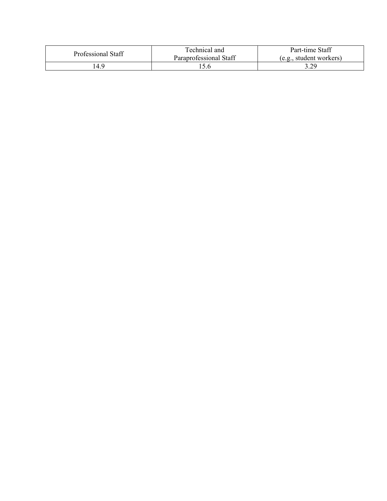| Professional Staff | Technical and<br>Paraprofessional Staff | Part-time Staff<br>(e.g., student workers) |
|--------------------|-----------------------------------------|--------------------------------------------|
| .4.9               |                                         | 3.29                                       |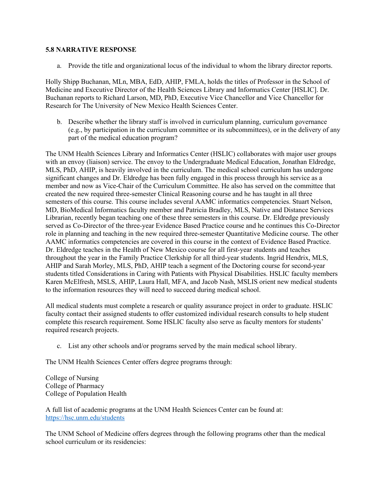#### **5.8 NARRATIVE RESPONSE**

a. Provide the title and organizational locus of the individual to whom the library director reports.

Holly Shipp Buchanan, MLn, MBA, EdD, AHIP, FMLA, holds the titles of Professor in the School of Medicine and Executive Director of the Health Sciences Library and Informatics Center [HSLIC]. Dr. Buchanan reports to Richard Larson, MD, PhD, Executive Vice Chancellor and Vice Chancellor for Research for The University of New Mexico Health Sciences Center.

b. Describe whether the library staff is involved in curriculum planning, curriculum governance (e.g., by participation in the curriculum committee or its subcommittees), or in the delivery of any part of the medical education program?

The UNM Health Sciences Library and Informatics Center (HSLIC) collaborates with major user groups with an envoy (liaison) service. The envoy to the Undergraduate Medical Education, Jonathan Eldredge, MLS, PhD, AHIP, is heavily involved in the curriculum. The medical school curriculum has undergone significant changes and Dr. Eldredge has been fully engaged in this process through his service as a member and now as Vice-Chair of the Curriculum Committee. He also has served on the committee that created the new required three-semester Clinical Reasoning course and he has taught in all three semesters of this course. This course includes several AAMC informatics competencies. Stuart Nelson, MD, BioMedical Informatics faculty member and Patricia Bradley, MLS, Native and Distance Services Librarian, recently began teaching one of these three semesters in this course. Dr. Eldredge previously served as Co-Director of the three-year Evidence Based Practice course and he continues this Co-Director role in planning and teaching in the new required three-semester Quantitative Medicine course. The other AAMC informatics competencies are covered in this course in the context of Evidence Based Practice. Dr. Eldredge teaches in the Health of New Mexico course for all first-year students and teaches throughout the year in the Family Practice Clerkship for all third-year students. Ingrid Hendrix, MLS, AHIP and Sarah Morley, MLS, PhD, AHIP teach a segment of the Doctoring course for second-year students titled Considerations in Caring with Patients with Physical Disabilities. HSLIC faculty members Karen McElfresh, MSLS, AHIP, Laura Hall, MFA, and Jacob Nash, MSLIS orient new medical students to the information resources they will need to succeed during medical school.

All medical students must complete a research or quality assurance project in order to graduate. HSLIC faculty contact their assigned students to offer customized individual research consults to help student complete this research requirement. Some HSLIC faculty also serve as faculty mentors for students' required research projects.

c. List any other schools and/or programs served by the main medical school library.

The UNM Health Sciences Center offers degree programs through:

College of Nursing College of Pharmacy College of Population Health

A full list of academic programs at the UNM Health Sciences Center can be found at: <https://hsc.unm.edu/students>

The UNM School of Medicine offers degrees through the following programs other than the medical school curriculum or its residencies: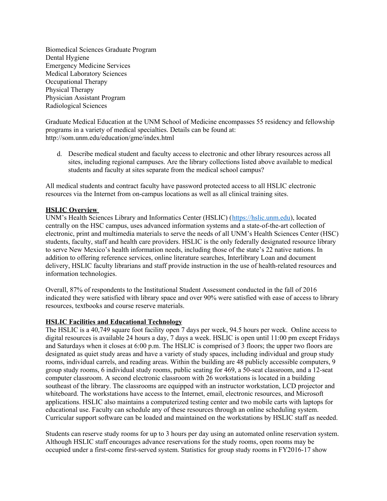Biomedical Sciences Graduate Program Dental Hygiene Emergency Medicine Services Medical Laboratory Sciences Occupational Therapy Physical Therapy Physician Assistant Program Radiological Sciences

Graduate Medical Education at the UNM School of Medicine encompasses 55 residency and fellowship programs in a variety of medical specialties. Details can be found at: http://som.unm.edu/education/gme/index.html

d. Describe medical student and faculty access to electronic and other library resources across all sites, including regional campuses. Are the library collections listed above available to medical students and faculty at sites separate from the medical school campus?

All medical students and contract faculty have password protected access to all HSLIC electronic resources via the Internet from on-campus locations as well as all clinical training sites.

#### **HSLIC Overview**

UNM's Health Sciences Library and Informatics Center (HSLIC) ([https://hslic.unm.edu\)](https://hslic.unm.edu/), located centrally on the HSC campus, uses advanced information systems and a state-of-the-art collection of electronic, print and multimedia materials to serve the needs of all UNM's Health Sciences Center (HSC) students, faculty, staff and health care providers. HSLIC is the only federally designated resource library to serve New Mexico's health information needs, including those of the state's 22 native nations. In addition to offering reference services, online literature searches, Interlibrary Loan and document delivery, HSLIC faculty librarians and staff provide instruction in the use of health-related resources and information technologies.

Overall, 87% of respondents to the Institutional Student Assessment conducted in the fall of 2016 indicated they were satisfied with library space and over 90% were satisfied with ease of access to library resources, textbooks and course reserve materials.

#### **HSLIC Facilities and Educational Technology**

The HSLIC is a 40,749 square foot facility open 7 days per week, 94.5 hours per week. Online access to digital resources is available 24 hours a day, 7 days a week. HSLIC is open until 11:00 pm except Fridays and Saturdays when it closes at 6:00 p.m. The HSLIC is comprised of 3 floors; the upper two floors are designated as quiet study areas and have a variety of study spaces, including individual and group study rooms, individual carrels, and reading areas. Within the building are 48 publicly accessible computers, 9 group study rooms, 6 individual study rooms, public seating for 469, a 50-seat classroom, and a 12-seat computer classroom. A second electronic classroom with 26 workstations is located in a building southeast of the library. The classrooms are equipped with an instructor workstation, LCD projector and whiteboard. The workstations have access to the Internet, email, electronic resources, and Microsoft applications. HSLIC also maintains a computerized testing center and two mobile carts with laptops for educational use. Faculty can schedule any of these resources through an online scheduling system. Curricular support software can be loaded and maintained on the workstations by HSLIC staff as needed.

Students can reserve study rooms for up to 3 hours per day using an automated online reservation system. Although HSLIC staff encourages advance reservations for the study rooms, open rooms may be occupied under a first-come first-served system. Statistics for group study rooms in FY2016-17 show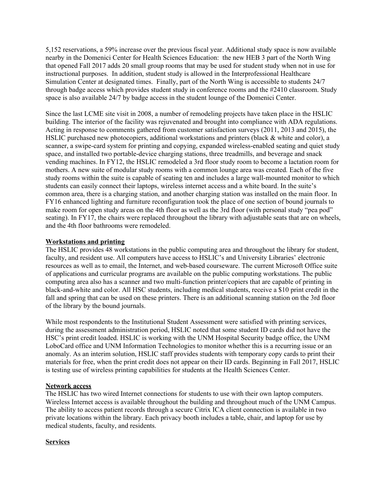5,152 reservations, a 59% increase over the previous fiscal year. Additional study space is now available nearby in the Domenici Center for Health Sciences Education: the new HEB 3 part of the North Wing that opened Fall 2017 adds 20 small group rooms that may be used for student study when not in use for instructional purposes. In addition, student study is allowed in the Interprofessional Healthcare Simulation Center at designated times. Finally, part of the North Wing is accessible to students 24/7 through badge access which provides student study in conference rooms and the #2410 classroom. Study space is also available 24/7 by badge access in the student lounge of the Domenici Center.

Since the last LCME site visit in 2008, a number of remodeling projects have taken place in the HSLIC building. The interior of the facility was rejuvenated and brought into compliance with ADA regulations. Acting in response to comments gathered from customer satisfaction surveys (2011, 2013 and 2015), the HSLIC purchased new photocopiers, additional workstations and printers (black & white and color), a scanner, a swipe-card system for printing and copying, expanded wireless-enabled seating and quiet study space, and installed two portable-device charging stations, three treadmills, and beverage and snack vending machines. In FY12, the HSLIC remodeled a 3rd floor study room to become a lactation room for mothers. A new suite of modular study rooms with a common lounge area was created. Each of the five study rooms within the suite is capable of seating ten and includes a large wall-mounted monitor to which students can easily connect their laptops, wireless internet access and a white board. In the suite's common area, there is a charging station, and another charging station was installed on the main floor. In FY16 enhanced lighting and furniture reconfiguration took the place of one section of bound journals to make room for open study areas on the 4th floor as well as the 3rd floor (with personal study "pea pod" seating). In FY17, the chairs were replaced throughout the library with adjustable seats that are on wheels, and the 4th floor bathrooms were remodeled.

#### **Workstations and printing**

The HSLIC provides 48 workstations in the public computing area and throughout the library for student, faculty, and resident use. All computers have access to HSLIC's and University Libraries' electronic resources as well as to email, the Internet, and web-based courseware. The current Microsoft Office suite of applications and curricular programs are available on the public computing workstations. The public computing area also has a scanner and two multi-function printer/copiers that are capable of printing in black-and-white and color. All HSC students, including medical students, receive a \$10 print credit in the fall and spring that can be used on these printers. There is an additional scanning station on the 3rd floor of the library by the bound journals.

While most respondents to the Institutional Student Assessment were satisfied with printing services, during the assessment administration period, HSLIC noted that some student ID cards did not have the HSC's print credit loaded. HSLIC is working with the UNM Hospital Security badge office, the UNM LoboCard office and UNM Information Technologies to monitor whether this is a recurring issue or an anomaly. As an interim solution, HSLIC staff provides students with temporary copy cards to print their materials for free, when the print credit does not appear on their ID cards. Beginning in Fall 2017, HSLIC is testing use of wireless printing capabilities for students at the Health Sciences Center.

#### **Network access**

The HSLIC has two wired Internet connections for students to use with their own laptop computers. Wireless Internet access is available throughout the building and throughout much of the UNM Campus. The ability to access patient records through a secure Citrix ICA client connection is available in two private locations within the library. Each privacy booth includes a table, chair, and laptop for use by medical students, faculty, and residents.

#### **Services**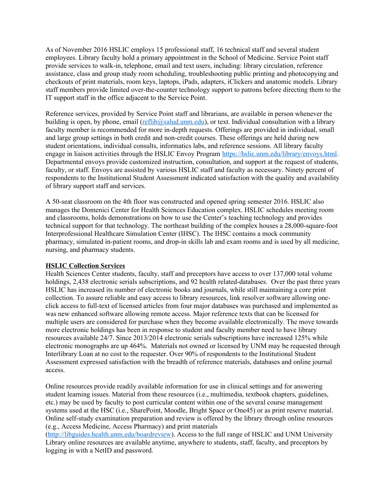As of November 2016 HSLIC employs 15 professional staff, 16 technical staff and several student employees. Library faculty hold a primary appointment in the School of Medicine. Service Point staff provide services to walk-in, telephone, email and text users, including: library circulation, reference assistance, class and group study room scheduling, troubleshooting public printing and photocopying and checkouts of print materials, room keys, laptops, iPads, adapters, iClickers and anatomic models. Library staff members provide limited over-the-counter technology support to patrons before directing them to the IT support staff in the office adjacent to the Service Point.

Reference services, provided by Service Point staff and librarians, are available in person whenever the building is open, by phone, email [\(reflib@salud.unm.edu\)](mailto:reflib@salud.unm.edu), or text. Individual consultation with a library faculty member is recommended for more in-depth requests. Offerings are provided in individual, small and large group settings in both credit and non-credit courses. These offerings are held during new student orientations, individual consults, informatics labs, and reference sessions. All library faculty engage in liaison activities through the HSLIC Envoy Program [https://hslic.unm.edu/library/envoys.html.](https://hslic.unm.edu/library/envoys.html) Departmental envoys provide customized instruction, consultation, and support at the request of students, faculty, or staff. Envoys are assisted by various HSLIC staff and faculty as necessary. Ninety percent of respondents to the Institutional Student Assessment indicated satisfaction with the quality and availability of library support staff and services.

A 50-seat classroom on the 4th floor was constructed and opened spring semester 2016. HSLIC also manages the Domenici Center for Health Sciences Education complex. HSLIC schedules meeting room and classrooms, holds demonstrations on how to use the Center's teaching technology and provides technical support for that technology. The northeast building of the complex houses a 28,000-square-foot Interprofessional Healthcare Simulation Center (IHSC). The IHSC contains a mock community pharmacy, simulated in-patient rooms, and drop-in skills lab and exam rooms and is used by all medicine, nursing, and pharmacy students.

#### **HSLIC Collection Services**

Health Sciences Center students, faculty, staff and preceptors have access to over 137,000 total volume holdings, 2,438 electronic serials subscriptions, and 92 health related-databases. Over the past three years HSLIC has increased its number of electronic books and journals, while still maintaining a core print collection. To assure reliable and easy access to library resources, link resolver software allowing oneclick access to full-text of licensed articles from four major databases was purchased and implemented as was new enhanced software allowing remote access. Major reference texts that can be licensed for multiple users are considered for purchase when they become available electronically. The move towards more electronic holdings has been in response to student and faculty member need to have library resources available 24/7. Since 2013/2014 electronic serials subscriptions have increased 125% while electronic monographs are up 464%. Materials not owned or licensed by UNM may be requested through Interlibrary Loan at no cost to the requester. Over 90% of respondents to the Institutional Student Assessment expressed satisfaction with the breadth of reference materials, databases and online journal access.

Online resources provide readily available information for use in clinical settings and for answering student learning issues. Material from these resources (i.e., multimedia, textbook chapters, guidelines, etc.) may be used by faculty to post curricular content within one of the several course management systems used at the HSC (i.e., SharePoint, Moodle, Bright Space or One45) or as print reserve material. Online self-study examination preparation and review is offered by the library through online resources (e.g., Access Medicine, Access Pharmacy) and print materials

(<http://libguides.health.unm.edu/boardreview>). Access to the full range of HSLIC and UNM University Library online resources are available anytime, anywhere to students, staff, faculty, and preceptors by logging in with a NetID and password.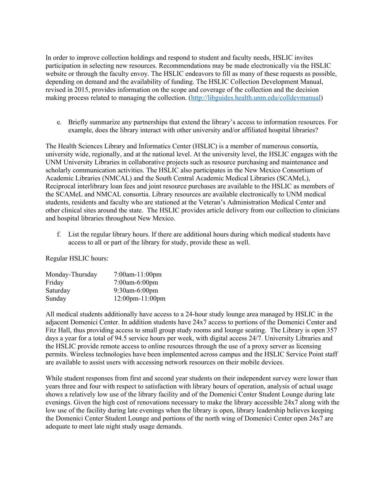In order to improve collection holdings and respond to student and faculty needs, HSLIC invites participation in selecting new resources. Recommendations may be made electronically via the HSLIC website or through the faculty envoy. The HSLIC endeavors to fill as many of these requests as possible, depending on demand and the availability of funding. The HSLIC Collection Development Manual, revised in 2015, provides information on the scope and coverage of the collection and the decision making process related to managing the collection. [\(http://libguides.health.unm.edu/colldevmanual](http://libguides.health.unm.edu/colldevmanual))

e. Briefly summarize any partnerships that extend the library's access to information resources. For example, does the library interact with other university and/or affiliated hospital libraries?

The Health Sciences Library and Informatics Center (HSLIC) is a member of numerous consortia, university wide, regionally, and at the national level. At the university level, the HSLIC engages with the UNM University Libraries in collaborative projects such as resource purchasing and maintenance and scholarly communication activities. The HSLIC also participates in the New Mexico Consortium of Academic Libraries (NMCAL) and the South Central Academic Medical Libraries (SCAMeL), Reciprocal interlibrary loan fees and joint resource purchases are available to the HSLIC as members of the SCAMeL and NMCAL consortia. Library resources are available electronically to UNM medical students, residents and faculty who are stationed at the Veteran's Administration Medical Center and other clinical sites around the state. The HSLIC provides article delivery from our collection to clinicians and hospital libraries throughout New Mexico.

f. List the regular library hours. If there are additional hours during which medical students have access to all or part of the library for study, provide these as well.

Regular HSLIC hours:

| Monday-Thursday | 7:00am-11:00pm         |
|-----------------|------------------------|
| Friday          | 7:00am-6:00pm          |
| Saturday        | $9:30$ am-6:00pm       |
| Sunday          | $12:00$ pm- $11:00$ pm |

All medical students additionally have access to a 24-hour study lounge area managed by HSLIC in the adjacent Domenici Center. In addition students have 24x7 access to portions of the Domenici Center and Fitz Hall, thus providing access to small group study rooms and lounge seating. The Library is open 357 days a year for a total of 94.5 service hours per week, with digital access 24/7. University Libraries and the HSLIC provide remote access to online resources through the use of a proxy server as licensing permits. Wireless technologies have been implemented across campus and the HSLIC Service Point staff are available to assist users with accessing network resources on their mobile devices.

While student responses from first and second year students on their independent survey were lower than years three and four with respect to satisfaction with library hours of operation, analysis of actual usage shows a relatively low use of the library facility and of the Domenici Center Student Lounge during late evenings. Given the high cost of renovations necessary to make the library accessible 24x7 along with the low use of the facility during late evenings when the library is open, library leadership believes keeping the Domenici Center Student Lounge and portions of the north wing of Domenici Center open 24x7 are adequate to meet late night study usage demands.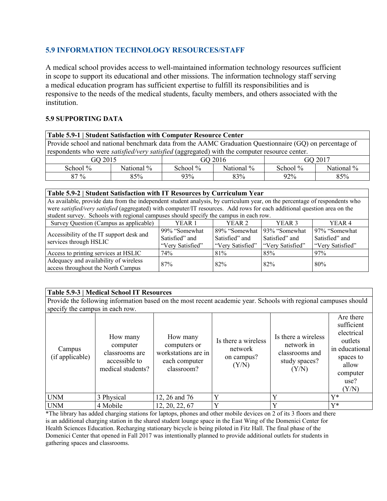# **5.9 INFORMATION TECHNOLOGY RESOURCES/STAFF**

A medical school provides access to well-maintained information technology resources sufficient in scope to support its educational and other missions. The information technology staff serving a medical education program has sufficient expertise to fulfill its responsibilities and is responsive to the needs of the medical students, faculty members, and others associated with the *institution* 

# **5.9 SUPPORTING DATA**

| <b>Table 5.9-1   Student Satisfaction with Computer Resource Center</b>                                 |     |             |            |             |            |  |  |  |  |  |
|---------------------------------------------------------------------------------------------------------|-----|-------------|------------|-------------|------------|--|--|--|--|--|
| Provide school and national benchmark data from the AAMC Graduation Questionnaire (GQ) on percentage of |     |             |            |             |            |  |  |  |  |  |
| respondents who were <i>satisfied/very satisfied</i> (aggregated) with the computer resource center.    |     |             |            |             |            |  |  |  |  |  |
| GO 2015                                                                                                 |     |             | GO 2016    | GO 2017     |            |  |  |  |  |  |
| National %<br>School $\%$                                                                               |     | School $\%$ | National % | School $\%$ | National % |  |  |  |  |  |
| $87\%$                                                                                                  | 85% | 93%         | 83%        | 92%         | 85%        |  |  |  |  |  |

#### **Table 5.9-2 | Student Satisfaction with IT Resources by Curriculum Year**

As available, provide data from the independent student analysis, by curriculum year, on the percentage of respondents who were *satisfied/very satisfied* (aggregated) with computer/IT resources. Add rows for each additional question area on the student survey. Schools with regional campuses should specify the campus in each row.

| Survey Question (Campus as applicable)                             | YEAR <sub>1</sub> | YEAR 2                       | YEAR <sub>3</sub> | YEAR <sub>4</sub> |
|--------------------------------------------------------------------|-------------------|------------------------------|-------------------|-------------------|
|                                                                    | 99% "Somewhat"    | 89% "Somewhat 93% "Somewhat" |                   | 97% "Somewhat"    |
| Accessibility of the IT support desk and<br>services through HSLIC | Satisfied" and    | Satisfied" and               | Satisfied" and    | Satisfied" and    |
|                                                                    | "Very Satisfied"  | "Very Satisfied"             | "Very Satisfied"  | "Very Satisfied"  |
| Access to printing services at HSLIC                               | 74%               | 81%                          | 85%               | 97%               |
| Adequacy and availability of wireless                              | 87%               | 82%                          | 82%               | 80%               |
| access throughout the North Campus                                 |                   |                              |                   |                   |

## **Table 5.9-3 | Medical School IT Resources**

Provide the following information based on the most recent academic year. Schools with regional campuses should specify the campus in each row.

| Campus<br>(if applicable) | How many<br>computer<br>classrooms are<br>accessible to<br>medical students? | How many<br>computers or<br>workstations are in<br>each computer<br>classroom? | Is there a wireless<br>network<br>on campus?<br>(Y/N) | Is there a wireless<br>network in<br>classrooms and<br>study spaces?<br>(Y/N) | Are there<br>sufficient<br>electrical<br>outlets<br>in educational<br>spaces to<br>allow<br>computer<br>use?<br>(Y/N) |
|---------------------------|------------------------------------------------------------------------------|--------------------------------------------------------------------------------|-------------------------------------------------------|-------------------------------------------------------------------------------|-----------------------------------------------------------------------------------------------------------------------|
| <b>UNM</b>                | 3 Physical                                                                   | 12, 26 and 76                                                                  |                                                       | v                                                                             | V*                                                                                                                    |
| <b>UNM</b>                | 4 Mobile                                                                     | 12, 20, 22, 67                                                                 | $\mathbf{v}$                                          |                                                                               | $V^*$                                                                                                                 |

\*The library has added charging stations for laptops, phones and other mobile devices on 2 of its 3 floors and there is an additional charging station in the shared student lounge space in the East Wing of the Domenici Center for Health Sciences Education. Recharging stationary bicycle is being piloted in Fitz Hall. The final phase of the Domenici Center that opened in Fall 2017 was intentionally planned to provide additional outlets for students in gathering spaces and classrooms.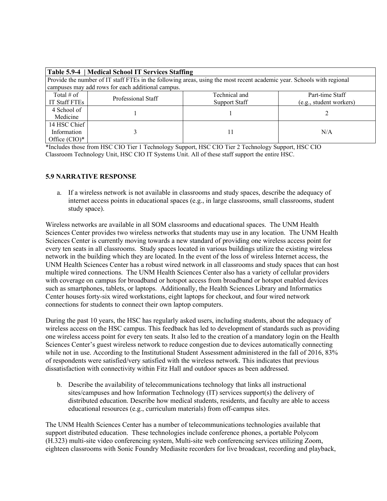| Table 5.9-4   Medical School IT Services Staffing                                                                      |                                                        |                      |                         |  |  |  |  |  |  |
|------------------------------------------------------------------------------------------------------------------------|--------------------------------------------------------|----------------------|-------------------------|--|--|--|--|--|--|
| Provide the number of IT staff FTEs in the following areas, using the most recent academic year. Schools with regional |                                                        |                      |                         |  |  |  |  |  |  |
|                                                                                                                        | campuses may add rows for each additional campus.      |                      |                         |  |  |  |  |  |  |
| Total # of                                                                                                             | Technical and<br>Part-time Staff<br>Professional Staff |                      |                         |  |  |  |  |  |  |
| <b>IT Staff FTEs</b>                                                                                                   |                                                        | <b>Support Staff</b> | (e.g., student workers) |  |  |  |  |  |  |
| 4 School of                                                                                                            |                                                        |                      |                         |  |  |  |  |  |  |
| Medicine                                                                                                               |                                                        |                      |                         |  |  |  |  |  |  |
| 14 HSC Chief                                                                                                           |                                                        |                      |                         |  |  |  |  |  |  |
| Information                                                                                                            | N/A                                                    |                      |                         |  |  |  |  |  |  |
| Office $(CIO)^*$                                                                                                       |                                                        |                      |                         |  |  |  |  |  |  |

\*Includes those from HSC CIO Tier 1 Technology Support, HSC CIO Tier 2 Technology Support, HSC CIO Classroom Technology Unit, HSC CIO IT Systems Unit. All of these staff support the entire HSC.

#### **5.9 NARRATIVE RESPONSE**

a. If a wireless network is not available in classrooms and study spaces, describe the adequacy of internet access points in educational spaces (e.g., in large classrooms, small classrooms, student study space).

Wireless networks are available in all SOM classrooms and educational spaces. The UNM Health Sciences Center provides two wireless networks that students may use in any location. The UNM Health Sciences Center is currently moving towards a new standard of providing one wireless access point for every ten seats in all classrooms. Study spaces located in various buildings utilize the existing wireless network in the building which they are located. In the event of the loss of wireless Internet access, the UNM Health Sciences Center has a robust wired network in all classrooms and study spaces that can host multiple wired connections. The UNM Health Sciences Center also has a variety of cellular providers with coverage on campus for broadband or hotspot access from broadband or hotspot enabled devices such as smartphones, tablets, or laptops. Additionally, the Health Sciences Library and Informatics Center houses forty-six wired workstations, eight laptops for checkout, and four wired network connections for students to connect their own laptop computers.

During the past 10 years, the HSC has regularly asked users, including students, about the adequacy of wireless access on the HSC campus. This feedback has led to development of standards such as providing one wireless access point for every ten seats. It also led to the creation of a mandatory login on the Health Sciences Center's guest wireless network to reduce congestion due to devices automatically connecting while not in use. According to the Institutional Student Assessment administered in the fall of 2016, 83% of respondents were satisfied/very satisfied with the wireless network. This indicates that previous dissatisfaction with connectivity within Fitz Hall and outdoor spaces as been addressed.

b. Describe the availability of telecommunications technology that links all instructional sites/campuses and how Information Technology (IT) services support(s) the delivery of distributed education. Describe how medical students, residents, and faculty are able to access educational resources (e.g., curriculum materials) from off-campus sites.

The UNM Health Sciences Center has a number of telecommunications technologies available that support distributed education. These technologies include conference phones, a portable Polycom (H.323) multi-site video conferencing system, Multi-site web conferencing services utilizing Zoom, eighteen classrooms with Sonic Foundry Mediasite recorders for live broadcast, recording and playback,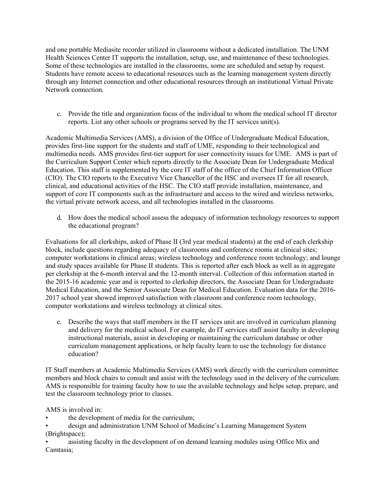and one portable Mediasite recorder utilized in classrooms without a dedicated installation. The UNM Health Sciences Center IT supports the installation, setup, use, and maintenance of these technologies. Some of these technologies are installed in the classrooms, some are scheduled and setup by request. Students have remote access to educational resources such as the learning management system directly through any Internet connection and other educational resources through an institutional Virtual Private Network connection.

c. Provide the title and organization focus of the individual to whom the medical school IT director reports. List any other schools or programs served by the IT services unit(s).

Academic Multimedia Services (AMS), a division of the Office of Undergraduate Medical Education, provides first-line support for the students and staff of UME, responding to their technological and multimedia needs. AMS provides first-tier support for user connectivity issues for UME. AMS is part of the Curriculum Support Center which reports directly to the Associate Dean for Undergraduate Medical Education. This staff is supplemented by the core IT staff of the office of the Chief Information Officer (CIO). The CIO reports to the Executive Vice Chancellor of the HSC and oversees IT for all research, clinical, and educational activities of the HSC. The CIO staff provide installation, maintenance, and support of core IT components such as the infrastructure and access to the wired and wireless networks, the virtual private network access, and all technologies installed in the classrooms.

d. How does the medical school assess the adequacy of information technology resources to support the educational program?

Evaluations for all clerkships, asked of Phase II (3rd year medical students) at the end of each clerkship block, include questions regarding adequacy of classrooms and conference rooms at clinical sites; computer workstations in clinical areas; wireless technology and conference room technology; and lounge and study spaces available for Phase II students. This is reported after each block as well as in aggregate per clerkship at the 6-month interval and the 12-month interval. Collection of this information started in the 2015-16 academic year and is reported to clerkship directors, the Associate Dean for Undergraduate Medical Education, and the Senior Associate Dean for Medical Education. Evaluation data for the 2016- 2017 school year showed improved satisfaction with classroom and conference room technology, computer workstations and wireless technology at clinical sites.

e. Describe the ways that staff members in the IT services unit are involved in curriculum planning and delivery for the medical school. For example, do IT services staff assist faculty in developing instructional materials, assist in developing or maintaining the curriculum database or other curriculum management applications, or help faculty learn to use the technology for distance education?

IT Staff members at Academic Multimedia Services (AMS) work directly with the curriculum committee members and block chairs to consult and assist with the technology used in the delivery of the curriculum. AMS is responsible for training faculty how to use the available technology and helps setup, prepare, and test the classroom technology prior to classes.

AMS is involved in:

the development of media for the curriculum;

• design and administration UNM School of Medicine's Learning Management System (Brightspace);

assisting faculty in the development of on demand learning modules using Office Mix and Camtasia;